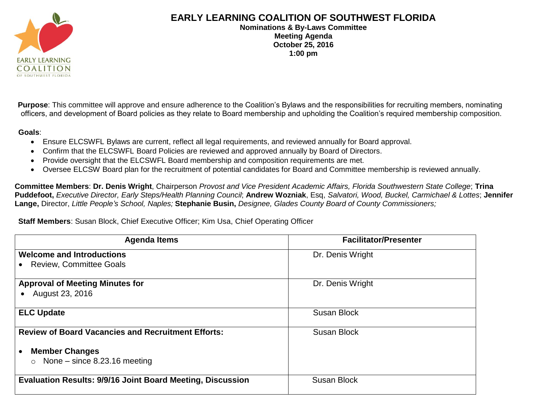

## **EARLY LEARNING COALITION OF SOUTHWEST FLORIDA**

**Nominations & By-Laws Committee Meeting Agenda October 25, 2016 1:00 pm**

Purpose: This committee will approve and ensure adherence to the Coalition's Bylaws and the responsibilities for recruiting members, nominating officers, and development of Board policies as they relate to Board membership and upholding the Coalition's required membership composition.

**Goals**:

- Ensure ELCSWFL Bylaws are current, reflect all legal requirements, and reviewed annually for Board approval.
- Confirm that the ELCSWFL Board Policies are reviewed and approved annually by Board of Directors.
- Provide oversight that the ELCSWFL Board membership and composition requirements are met.
- Oversee ELCSW Board plan for the recruitment of potential candidates for Board and Committee membership is reviewed annually.

**Committee Members**: **Dr. Denis Wright**, Chairperson *Provost and Vice President Academic Affairs, Florida Southwestern State College*; **Trina Puddefoot,** *Executive Director, Early Steps/Health Planning Council*; **Andrew Wozniak**, Esq, *Salvatori, Wood, Buckel, Carmichael & Lottes*; **Jennifer Lange,** Director, *Little People's School, Naples;* **Stephanie Busin,** *Designee, Glades County Board of County Commissioners;* 

## **Staff Members**: Susan Block, Chief Executive Officer; Kim Usa, Chief Operating Officer

| <b>Agenda Items</b>                                               | <b>Facilitator/Presenter</b> |
|-------------------------------------------------------------------|------------------------------|
| <b>Welcome and Introductions</b>                                  | Dr. Denis Wright             |
| <b>Review, Committee Goals</b>                                    |                              |
| <b>Approval of Meeting Minutes for</b>                            | Dr. Denis Wright             |
| August 23, 2016                                                   |                              |
| <b>ELC Update</b>                                                 | <b>Susan Block</b>           |
| <b>Review of Board Vacancies and Recruitment Efforts:</b>         | <b>Susan Block</b>           |
| <b>Member Changes</b>                                             |                              |
| None $-$ since 8.23.16 meeting<br>$\circ$                         |                              |
| <b>Evaluation Results: 9/9/16 Joint Board Meeting, Discussion</b> | <b>Susan Block</b>           |